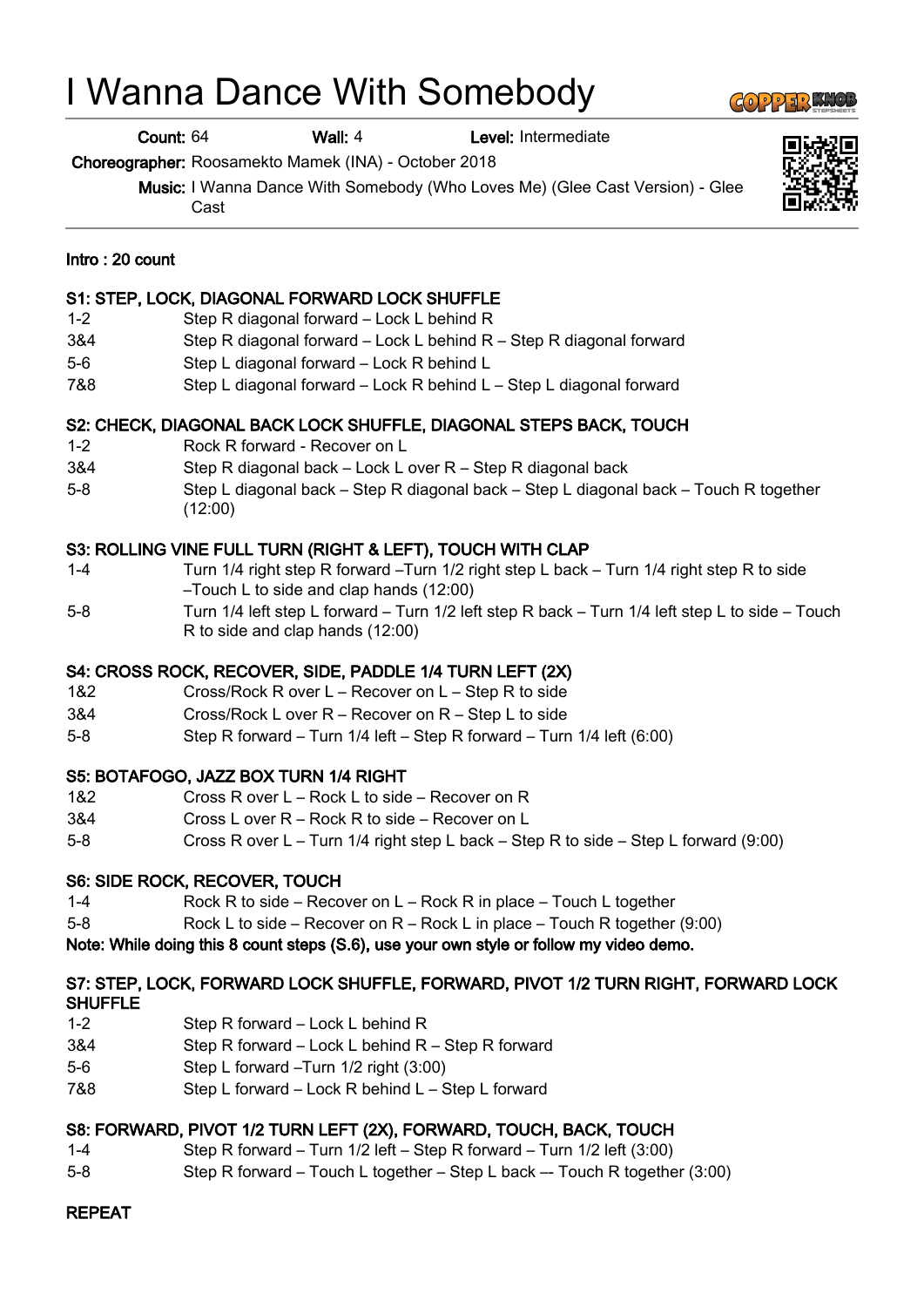# I Wanna Dance With Somebody

Count: 64 Wall: 4 Level: Intermediate

Choreographer: Roosamekto Mamek (INA) - October 2018

Music: I Wanna Dance With Somebody (Who Loves Me) (Glee Cast Version) - Glee Cast

#### Intro : 20 count

#### S1: STEP, LOCK, DIAGONAL FORWARD LOCK SHUFFLE

- 1-2 Step R diagonal forward Lock L behind R
- 3&4 Step R diagonal forward Lock L behind R Step R diagonal forward
- 5-6 Step L diagonal forward Lock R behind L
- 7&8 Step L diagonal forward Lock R behind L Step L diagonal forward

#### S2: CHECK, DIAGONAL BACK LOCK SHUFFLE, DIAGONAL STEPS BACK, TOUCH

- 1-2 Rock R forward Recover on L
- 3&4 Step R diagonal back Lock L over R Step R diagonal back
- 5-8 Step L diagonal back Step R diagonal back Step L diagonal back Touch R together (12:00)

#### S3: ROLLING VINE FULL TURN (RIGHT & LEFT), TOUCH WITH CLAP

- 1-4 Turn 1/4 right step R forward –Turn 1/2 right step L back Turn 1/4 right step R to side –Touch L to side and clap hands (12:00)
- 5-8 Turn 1/4 left step L forward Turn 1/2 left step R back Turn 1/4 left step L to side Touch R to side and clap hands (12:00)

#### S4: CROSS ROCK, RECOVER, SIDE, PADDLE 1/4 TURN LEFT (2X)

- 1&2 Cross/Rock R over L Recover on L Step R to side
- 3&4 Cross/Rock L over R Recover on R Step L to side
- 5-8 Step R forward Turn 1/4 left Step R forward Turn 1/4 left (6:00)

#### S5: BOTAFOGO, JAZZ BOX TURN 1/4 RIGHT

- 1&2 Cross R over L Rock L to side Recover on R
- 3&4 Cross L over R Rock R to side Recover on L
- 5-8 Cross R over L Turn 1/4 right step L back Step R to side Step L forward (9:00)

#### S6: SIDE ROCK, RECOVER, TOUCH

- 1-4 Rock R to side Recover on L Rock R in place Touch L together
- 5-8 Rock L to side Recover on R Rock L in place Touch R together (9:00)

#### Note: While doing this 8 count steps (S.6), use your own style or follow my video demo.

#### S7: STEP, LOCK, FORWARD LOCK SHUFFLE, FORWARD, PIVOT 1/2 TURN RIGHT, FORWARD LOCK SHUFFLE

- 1-2 Step R forward Lock L behind R
- 3&4 Step R forward Lock L behind R Step R forward
- 5-6 Step L forward –Turn 1/2 right (3:00)
- 7&8 Step L forward Lock R behind L Step L forward

#### S8: FORWARD, PIVOT 1/2 TURN LEFT (2X), FORWARD, TOUCH, BACK, TOUCH

- 1-4 Step R forward Turn 1/2 left Step R forward Turn 1/2 left (3:00)
- 5-8 Step R forward Touch L together Step L back –- Touch R together (3:00)

## REPEAT